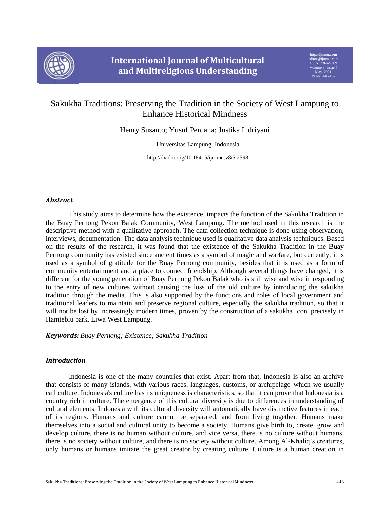

# Sakukha Traditions: Preserving the Tradition in the Society of West Lampung to Enhance Historical Mindness

Henry Susanto; Yusuf Perdana; Justika Indriyani

Universitas Lampung, Indonesia

http://dx.doi.org/10.18415/ijmmu.v8i5.2598

## *Abstract*

This study aims to determine how the existence, impacts the function of the Sakukha Tradition in the Buay Pernong Pekon Balak Community, West Lampung. The method used in this research is the descriptive method with a qualitative approach. The data collection technique is done using observation, interviews, documentation. The data analysis technique used is qualitative data analysis techniques. Based on the results of the research, it was found that the existence of the Sakukha Tradition in the Buay Pernong community has existed since ancient times as a symbol of magic and warfare, but currently, it is used as a symbol of gratitude for the Buay Pernong community, besides that it is used as a form of community entertainment and a place to connect friendship. Although several things have changed, it is different for the young generation of Buay Pernong Pekon Balak who is still wise and wise in responding to the entry of new cultures without causing the loss of the old culture by introducing the sakukha tradition through the media. This is also supported by the functions and roles of local government and traditional leaders to maintain and preserve regional culture, especially the sakukha tradition, so that it will not be lost by increasingly modern times, proven by the construction of a sakukha icon, precisely in Hamtebiu park, Liwa West Lampung.

### *Keywords: Buay Pernong; Existence; Sakukha Tradition*

## *Introduction*

Indonesia is one of the many countries that exist. Apart from that, Indonesia is also an archive that consists of many islands, with various races, languages, customs, or archipelago which we usually call culture. Indonesia's culture has its uniqueness is characteristics, so that it can prove that Indonesia is a country rich in culture. The emergence of this cultural diversity is due to differences in understanding of cultural elements. Indonesia with its cultural diversity will automatically have distinctive features in each of its regions. Humans and culture cannot be separated, and from living together. Humans make themselves into a social and cultural unity to become a society. Humans give birth to, create, grow and develop culture, there is no human without culture, and vice versa, there is no culture without humans, there is no society without culture, and there is no society without culture. Among Al-Khaliq's creatures, only humans or humans imitate the great creator by creating culture. Culture is a human creation in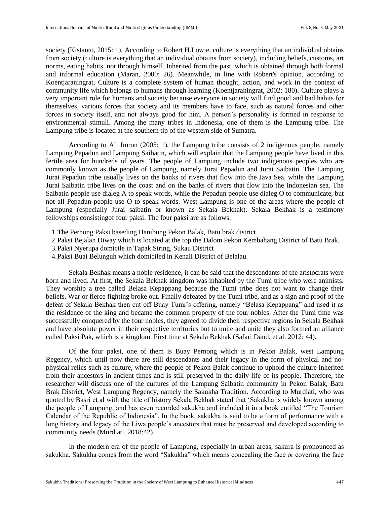society (Kistanto, 2015: 1). According to Robert H.Lowie, culture is everything that an individual obtains from society (culture is everything that an individual obtains from society), including beliefs, customs, art norms, eating habits, not through himself. Inherited from the past, which is obtained through both formal and informal education (Maran, 2000: 26). Meanwhile, in line with Robert's opinion, according to Koentjaraningrat, Culture is a complete system of human thought, action, and work in the context of community life which belongs to humans through learning (Koentjaraningrat, 2002: 180). Culture plays a very important role for humans and society because everyone in society will find good and bad habits for themselves, various forces that society and its members have to face, such as natural forces and other forces in society itself, and not always good for him. A person's personality is formed in response to environmental stimuli. Among the many tribes in Indonesia, one of them is the Lampung tribe. The Lampung tribe is located at the southern tip of the western side of Sumatra.

According to Ali Imron (2005: 1), the Lampung tribe consists of 2 indigenous people, namely Lampung Pepadun and Lampung Saibatin, which will explain that the Lampung people have lived in this fertile area for hundreds of years. The people of Lampung include two indigenous peoples who are commonly known as the people of Lampung, namely Jurai Pepadun and Jurai Saibatin. The Lampung Jurai Pepadun tribe usually lives on the banks of rivers that flow into the Java Sea, while the Lampung Jurai Saibatin tribe lives on the coast and on the banks of rivers that flow into the Indonesian sea. The Saibatin people use dialeg A to speak words, while the Pepadun people use dialeg O to communicate, but not all Pepadun people use O to speak words. West Lampung is one of the areas where the people of Lampung (especially Jurai saibatin or known as Sekala Bekhak). Sekala Bekhak is a testimony fellowships consistingof four paksi. The four paksi are as follows:

- 1.The Pernong Paksi baseding Hanibung Pekon Balak, Batu brak district
- 2.Paksi Bejalan Diway which is located at the top the Dalom Pekon Kembahang District of Batu Brak.
- 3.Paksi Nyerupa domicile in Tapak Siring, Sukau District
- 4.Paksi Buai Belunguh which domiciled in Kenali District of Belalau.

Sekala Bekhak means a noble residence, it can be said that the descendants of the aristocrats were born and lived. At first, the Sekala Bekhak kingdom was inhabited by the Tumi tribe who were animists. They worship a tree called Belasa Kepappang because the Tumi tribe does not want to change their beliefs. War or fierce fighting broke out. Finally defeated by the Tumi tribe, and as a sign and proof of the defeat of Sekala Bekhak then cut off Buay Tumi's offering, namely "Belasa Kepappang" and used it as the residence of the king and became the common property of the four nobles. After the Tumi time was successfully conquered by the four nobles, they agreed to divide their respective regions in Sekala Bekhak and have absolute power in their respective territories but to unite and unite they also formed an alliance called Paksi Pak, which is a kingdom. First time at Sekala Bekhak (Safari Daud, et al. 2012: 44).

Of the four paksi, one of them is Buay Pernong which is in Pekon Balak, west Lampung Regency, which until now there are still descendants and their legacy in the form of physical and nophysical relics such as culture, where the people of Pekon Balak continue to uphold the culture inherited from their ancestors in ancient times and is still preserved in the daily life of its people. Therefore, the researcher will discuss one of the cultures of the Lampung Saibatin community in Pekon Balak, Batu Brak District, West Lampung Regency, namely the Sakukha Tradition. According to Murdiati, who was quoted by Basri et al with the title of history Sekala Bekhak stated that 'Sakukha is widely known among the people of Lampung, and has even recorded sakukha and included it in a book entitled "The Tourism Calendar of the Republic of Indonesia". In the book, sakukha is said to be a form of performance with a long history and legacy of the Liwa people's ancestors that must be preserved and developed according to community needs (Murdiati, 2018:42).

In the modern era of the people of Lampung, especially in urban areas, sakura is pronounced as sakukha. Sakukha comes from the word "Sakukha" which means concealing the face or covering the face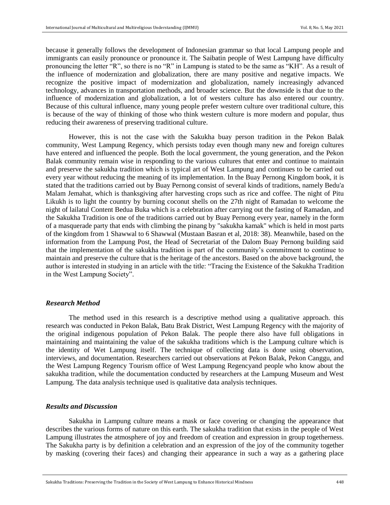because it generally follows the development of Indonesian grammar so that local Lampung people and immigrants can easily pronounce or pronounce it. The Saibatin people of West Lampung have difficulty pronouncing the letter "R", so there is no "R" in Lampung is stated to be the same as "KH". As a result of the influence of modernization and globalization, there are many positive and negative impacts. We recognize the positive impact of modernization and globalization, namely increasingly advanced technology, advances in transportation methods, and broader science. But the downside is that due to the influence of modernization and globalization, a lot of westers culture has also entered our country. Because of this cultural influence, many young people prefer western culture over traditional culture, this is because of the way of thinking of those who think western culture is more modern and popular, thus reducing their awareness of preserving traditional culture.

However, this is not the case with the Sakukha buay person tradition in the Pekon Balak community, West Lampung Regency, which persists today even though many new and foreign cultures have entered and influenced the people. Both the local government, the young generation, and the Pekon Balak community remain wise in responding to the various cultures that enter and continue to maintain and preserve the sakukha tradition which is typical art of West Lampung and continues to be carried out every year without reducing the meaning of its implementation. In the Buay Pernong Kingdom book, it is stated that the traditions carried out by Buay Pernong consist of several kinds of traditions, namely Bedu'a Malam Jemahat, which is thanksgiving after harvesting crops such as rice and coffee. The night of Pitu Likukh is to light the country by burning coconut shells on the 27th night of Ramadan to welcome the night of lailatul Content Bedua Buka which is a celebration after carrying out the fasting of Ramadan, and the Sakukha Tradition is one of the traditions carried out by Buay Pernong every year, namely in the form of a masquerade party that ends with climbing the pinang by "sakukha kamak" which is held in most parts of the kingdom from 1 Shawwal to 6 Shawwal (Mustaan Basran et al, 2018: 38). Meanwhile, based on the information from the Lampung Post, the Head of Secretariat of the Dalom Buay Pernong building said that the implementation of the sakukha tradition is part of the community's commitment to continue to maintain and preserve the culture that is the heritage of the ancestors. Based on the above background, the author is interested in studying in an article with the title: "Tracing the Existence of the Sakukha Tradition in the West Lampung Society".

#### *Research Method*

The method used in this research is a descriptive method using a qualitative approach. this research was conducted in Pekon Balak, Batu Brak District, West Lampung Regency with the majority of the original indigenous population of Pekon Balak. The people there also have full obligations in maintaining and maintaining the value of the sakukha traditions which is the Lampung culture which is the identity of Wet Lampung itself. The technique of collecting data is done using observation, interviews, and documentation. Researchers carried out observations at Pekon Balak, Pekon Canggu, and the West Lampung Regency Tourism office of West Lampung Regencyand people who know about the sakukha tradition, while the documentation conducted by researchers at the Lampung Museum and West Lampung. The data analysis technique used is qualitative data analysis techniques.

## *Results and Discussion*

Sakukha in Lampung culture means a mask or face covering or changing the appearance that describes the various forms of nature on this earth. The sakukha tradition that exists in the people of West Lampung illustrates the atmosphere of joy and freedom of creation and expression in group togetherness. The Sakukha party is by definition a celebration and an expression of the joy of the community together by masking (covering their faces) and changing their appearance in such a way as a gathering place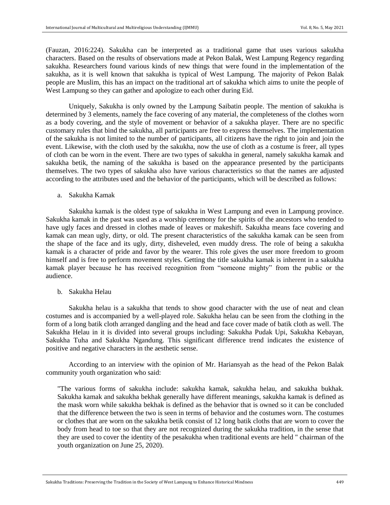(Fauzan, 2016:224). Sakukha can be interpreted as a traditional game that uses various sakukha characters. Based on the results of observations made at Pekon Balak, West Lampung Regency regarding sakukha. Researchers found various kinds of new things that were found in the implementation of the sakukha, as it is well known that sakukha is typical of West Lampung. The majority of Pekon Balak people are Muslim, this has an impact on the traditional art of sakukha which aims to unite the people of West Lampung so they can gather and apologize to each other during Eid.

Uniquely, Sakukha is only owned by the Lampung Saibatin people. The mention of sakukha is determined by 3 elements, namely the face covering of any material, the completeness of the clothes worn as a body covering, and the style of movement or behavior of a sakukha player. There are no specific customary rules that bind the sakukha, all participants are free to express themselves. The implementation of the sakukha is not limited to the number of participants, all citizens have the right to join and join the event. Likewise, with the cloth used by the sakukha, now the use of cloth as a costume is freer, all types of cloth can be worn in the event. There are two types of sakukha in general, namely sakukha kamak and sakukha betik, the naming of the sakukha is based on the appearance presented by the participants themselves. The two types of sakukha also have various characteristics so that the names are adjusted according to the attributes used and the behavior of the participants, which will be described as follows:

a. Sakukha Kamak

Sakukha kamak is the oldest type of sakukha in West Lampung and even in Lampung province. Sakukha kamak in the past was used as a worship ceremony for the spirits of the ancestors who tended to have ugly faces and dressed in clothes made of leaves or makeshift. Sakukha means face covering and kamak can mean ugly, dirty, or old. The present characteristics of the sakukha kamak can be seen from the shape of the face and its ugly, dirty, disheveled, even muddy dress. The role of being a sakukha kamak is a character of pride and favor by the wearer. This role gives the user more freedom to groom himself and is free to perform movement styles. Getting the title sakukha kamak is inherent in a sakukha kamak player because he has received recognition from "someone mighty" from the public or the audience.

b. Sakukha Helau

Sakukha helau is a sakukha that tends to show good character with the use of neat and clean costumes and is accompanied by a well-played role. Sakukha helau can be seen from the clothing in the form of a long batik cloth arranged dangling and the head and face cover made of batik cloth as well. The Sakukha Helau in it is divided into several groups including: Sakukha Pudak Upi, Sakukha Kebayan, Sakukha Tuha and Sakukha Ngandung. This significant difference trend indicates the existence of positive and negative characters in the aesthetic sense.

According to an interview with the opinion of Mr. Hariansyah as the head of the Pekon Balak community youth organization who said:

"The various forms of sakukha include: sakukha kamak, sakukha helau, and sakukha bukhak. Sakukha kamak and sakukha bekhak generally have different meanings, sakukha kamak is defined as the mask worn while sakukha bekhak is defined as the behavior that is owned so it can be concluded that the difference between the two is seen in terms of behavior and the costumes worn. The costumes or clothes that are worn on the sakukha betik consist of 12 long batik cloths that are worn to cover the body from head to toe so that they are not recognized during the sakukha tradition, in the sense that they are used to cover the identity of the pesakukha when traditional events are held " chairman of the youth organization on June 25, 2020).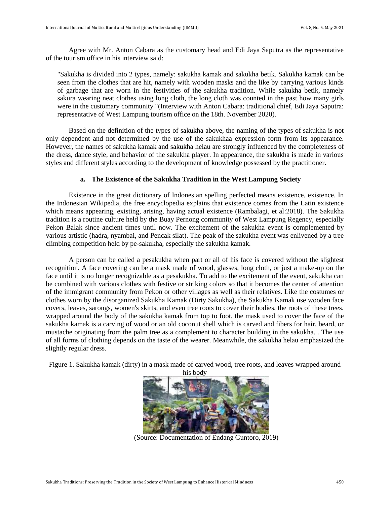Agree with Mr. Anton Cabara as the customary head and Edi Jaya Saputra as the representative of the tourism office in his interview said:

"Sakukha is divided into 2 types, namely: sakukha kamak and sakukha betik. Sakukha kamak can be seen from the clothes that are hit, namely with wooden masks and the like by carrying various kinds of garbage that are worn in the festivities of the sakukha tradition. While sakukha betik, namely sakura wearing neat clothes using long cloth, the long cloth was counted in the past how many girls were in the customary community "(Interview with Anton Cabara: traditional chief, Edi Jaya Saputra: representative of West Lampung tourism office on the 18th. November 2020).

Based on the definition of the types of sakukha above, the naming of the types of sakukha is not only dependent and not determined by the use of the sakukhaa expression form from its appearance. However, the names of sakukha kamak and sakukha helau are strongly influenced by the completeness of the dress, dance style, and behavior of the sakukha player. In appearance, the sakukha is made in various styles and different styles according to the development of knowledge possessed by the practitioner.

## **a. The Existence of the Sakukha Tradition in the West Lampung Society**

Existence in the great dictionary of Indonesian spelling perfected means existence, existence. In the Indonesian Wikipedia, the free encyclopedia explains that existence comes from the Latin existence which means appearing, existing, arising, having actual existence (Rambalagi, et al:2018). The Sakukha tradition is a routine culture held by the Buay Pernong community of West Lampung Regency, especially Pekon Balak since ancient times until now. The excitement of the sakukha event is complemented by various artistic (hadra, nyambai, and Pencak silat). The peak of the sakukha event was enlivened by a tree climbing competition held by pe-sakukha, especially the sakukha kamak.

A person can be called a pesakukha when part or all of his face is covered without the slightest recognition. A face covering can be a mask made of wood, glasses, long cloth, or just a make-up on the face until it is no longer recognizable as a pesakukha. To add to the excitement of the event, sakukha can be combined with various clothes with festive or striking colors so that it becomes the center of attention of the immigrant community from Pekon or other villages as well as their relatives. Like the costumes or clothes worn by the disorganized Sakukha Kamak (Dirty Sakukha), the Sakukha Kamak use wooden face covers, leaves, sarongs, women's skirts, and even tree roots to cover their bodies, the roots of these trees. wrapped around the body of the sakukha kamak from top to foot, the mask used to cover the face of the sakukha kamak is a carving of wood or an old coconut shell which is carved and fibers for hair, beard, or mustache originating from the palm tree as a complement to character building in the sakukha. . The use of all forms of clothing depends on the taste of the wearer. Meanwhile, the sakukha helau emphasized the slightly regular dress.

Figure 1. Sakukha kamak (dirty) in a mask made of carved wood, tree roots, and leaves wrapped around



(Source: Documentation of Endang Guntoro, 2019)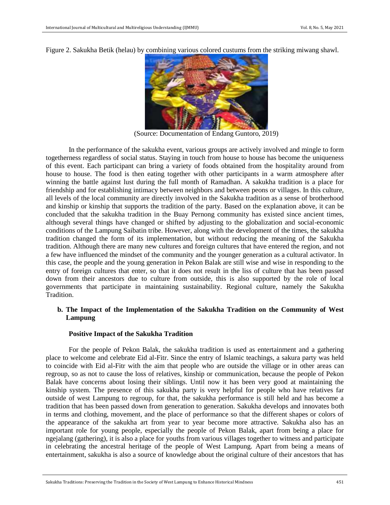Figure 2. Sakukha Betik (helau) by combining various colored custums from the striking miwang shawl.



(Source: Documentation of Endang Guntoro, 2019)

In the performance of the sakukha event, various groups are actively involved and mingle to form togetherness regardless of social status. Staying in touch from house to house has become the uniqueness of this event. Each participant can bring a variety of foods obtained from the hospitality around from house to house. The food is then eating together with other participants in a warm atmosphere after winning the battle against lust during the full month of Ramadhan. A sakukha tradition is a place for friendship and for establishing intimacy between neighbors and between peons or villages. In this culture, all levels of the local community are directly involved in the Sakukha tradition as a sense of brotherhood and kinship or kinship that supports the tradition of the party. Based on the explanation above, it can be concluded that the sakukha tradition in the Buay Pernong community has existed since ancient times, although several things have changed or shifted by adjusting to the globalization and social-economic conditions of the Lampung Saibatin tribe. However, along with the development of the times, the sakukha tradition changed the form of its implementation, but without reducing the meaning of the Sakukha tradition. Although there are many new cultures and foreign cultures that have entered the region, and not a few have influenced the mindset of the community and the younger generation as a cultural activator. In this case, the people and the young generation in Pekon Balak are still wise and wise in responding to the entry of foreign cultures that enter, so that it does not result in the liss of culture that has been passed down from their ancestors due to culture from outside, this is also supported by the role of local governments that participate in maintaining sustainability. Regional culture, namely the Sakukha Tradition.

## **b. The Impact of the Implementation of the Sakukha Tradition on the Community of West Lampung**

### **Positive Impact of the Sakukha Tradition**

For the people of Pekon Balak, the sakukha tradition is used as entertainment and a gathering place to welcome and celebrate Eid al-Fitr. Since the entry of Islamic teachings, a sakura party was held to coincide with Eid al-Fitr with the aim that people who are outside the village or in other areas can regroup, so as not to cause the loss of relatives, kinship or communication, because the people of Pekon Balak have concerns about losing their siblings. Until now it has been very good at maintaining the kinship system. The presence of this sakukha party is very helpful for people who have relatives far outside of west Lampung to regroup, for that, the sakukha performance is still held and has become a tradition that has been passed down from generation to generation. Sakukha develops and innovates both in terms and clothing, movement, and the place of performance so that the different shapes or colors of the appearance of the sakukha art from year to year become more attractive. Sakukha also has an important role for young people, especially the people of Pekon Balak, apart from being a place for ngejalang (gathering), it is also a place for youths from various villages together to witness and participate in celebrating the ancestral heritage of the people of West Lampung. Apart from being a means of entertainment, sakukha is also a source of knowledge about the original culture of their ancestors that has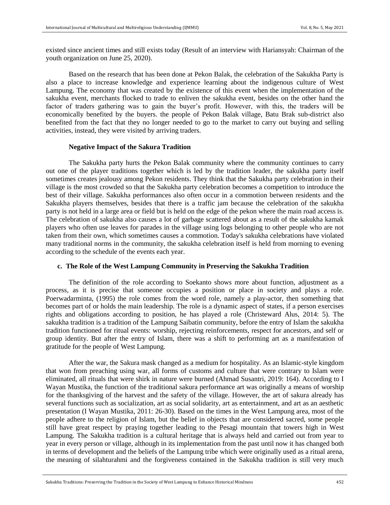existed since ancient times and still exists today (Result of an interview with Hariansyah: Chairman of the youth organization on June 25, 2020).

Based on the research that has been done at Pekon Balak, the celebration of the Sakukha Party is also a place to increase knowledge and experience learning about the indigenous culture of West Lampung. The economy that was created by the existence of this event when the implementation of the sakukha event, merchants flocked to trade to enliven the sakukha event, besides on the other hand the factor of traders gathering was to gain the buyer's profit. However, with this, the traders will be economically benefited by the buyers. the people of Pekon Balak village, Batu Brak sub-district also benefited from the fact that they no longer needed to go to the market to carry out buying and selling activities, instead, they were visited by arriving traders.

### **Negative Impact of the Sakura Tradition**

The Sakukha party hurts the Pekon Balak community where the community continues to carry out one of the player traditions together which is led by the tradition leader, the sakukha party itself sometimes creates jealousy among Pekon residents. They think that the Sakukha party celebration in their village is the most crowded so that the Sakukha party celebration becomes a competition to introduce the best of their village. Sakukha performances also often occur in a commotion between residents and the Sakukha players themselves, besides that there is a traffic jam because the celebration of the sakukha party is not held in a large area or field but is held on the edge of the pekon where the main road access is. The celebration of sakukha also causes a lot of garbage scattered about as a result of the sakukha kamak players who often use leaves for parades in the village using logs belonging to other people who are not taken from their own, which sometimes causes a commotion. Today's sakukha celebrations have violated many traditional norms in the community, the sakukha celebration itself is held from morning to evening according to the schedule of the events each year.

## **c. The Role of the West Lampung Community in Preserving the Sakukha Tradition**

The definition of the role according to Soekanto shows more about function, adjustment as a process, as it is precise that someone occupies a position or place in society and plays a role. Poerwadarminta, (1995) the role comes from the word role, namely a play-actor, then something that becomes part of or holds the main leadership. The role is a dynamic aspect of states, if a person exercises rights and obligations according to position, he has played a role (Christeward Alus, 2014: 5). The sakukha tradition is a tradition of the Lampung Saibatin community, before the entry of Islam the sakukha tradition functioned for ritual events: worship, rejecting reinforcements, respect for ancestors, and self or group identity. But after the entry of Islam, there was a shift to performing art as a manifestation of gratitude for the people of West Lampung.

After the war, the Sakura mask changed as a medium for hospitality. As an Islamic-style kingdom that won from preaching using war, all forms of customs and culture that were contrary to Islam were eliminated, all rituals that were shirk in nature were burned (Ahmad Susantri, 2019: 164). According to I Wayan Mustika, the function of the traditional sakura performance art was originally a means of worship for the thanksgiving of the harvest and the safety of the village. However, the art of sakura already has several functions such as socialization, art as social solidarity, art as entertainment, and art as an aesthetic presentation (I Wayan Mustika, 2011: 26-30). Based on the times in the West Lampung area, most of the people adhere to the religion of Islam, but the belief in objects that are considered sacred, some people still have great respect by praying together leading to the Pesagi mountain that towers high in West Lampung. The Sakukha tradition is a cultural heritage that is always held and carried out from year to year in every person or village, although in its implementation from the past until now it has changed both in terms of development and the beliefs of the Lampung tribe which were originally used as a ritual arena, the meaning of silahturahmi and the forgiveness contained in the Sakukha tradition is still very much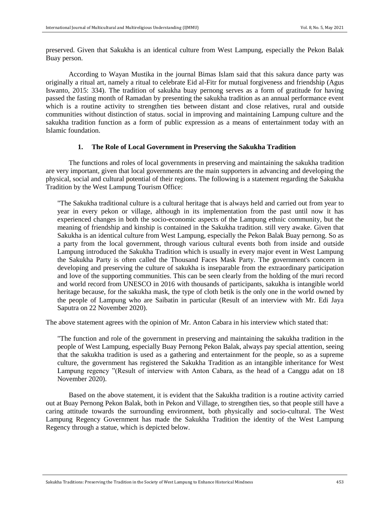preserved. Given that Sakukha is an identical culture from West Lampung, especially the Pekon Balak Buay person.

According to Wayan Mustika in the journal Bimas Islam said that this sakura dance party was originally a ritual art, namely a ritual to celebrate Eid al-Fitr for mutual forgiveness and friendship (Agus Iswanto, 2015: 334). The tradition of sakukha buay pernong serves as a form of gratitude for having passed the fasting month of Ramadan by presenting the sakukha tradition as an annual performance event which is a routine activity to strengthen ties between distant and close relatives, rural and outside communities without distinction of status. social in improving and maintaining Lampung culture and the sakukha tradition function as a form of public expression as a means of entertainment today with an Islamic foundation.

## **1. The Role of Local Government in Preserving the Sakukha Tradition**

The functions and roles of local governments in preserving and maintaining the sakukha tradition are very important, given that local governments are the main supporters in advancing and developing the physical, social and cultural potential of their regions. The following is a statement regarding the Sakukha Tradition by the West Lampung Tourism Office:

"The Sakukha traditional culture is a cultural heritage that is always held and carried out from year to year in every pekon or village, although in its implementation from the past until now it has experienced changes in both the socio-economic aspects of the Lampung ethnic community, but the meaning of friendship and kinship is contained in the Sakukha tradition. still very awake. Given that Sakukha is an identical culture from West Lampung, especially the Pekon Balak Buay pernong. So as a party from the local government, through various cultural events both from inside and outside Lampung introduced the Sakukha Tradition which is usually in every major event in West Lampung the Sakukha Party is often called the Thousand Faces Mask Party. The government's concern in developing and preserving the culture of sakukha is inseparable from the extraordinary participation and love of the supporting communities. This can be seen clearly from the holding of the muri record and world record from UNESCO in 2016 with thousands of participants, sakukha is intangible world heritage because, for the sakukha mask, the type of cloth betik is the only one in the world owned by the people of Lampung who are Saibatin in particular (Result of an interview with Mr. Edi Jaya Saputra on 22 November 2020).

The above statement agrees with the opinion of Mr. Anton Cabara in his interview which stated that:

"The function and role of the government in preserving and maintaining the sakukha tradition in the people of West Lampung, especially Buay Pernong Pekon Balak, always pay special attention, seeing that the sakukha tradition is used as a gathering and entertainment for the people, so as a supreme culture, the government has registered the Sakukha Tradition as an intangible inheritance for West Lampung regency "(Result of interview with Anton Cabara, as the head of a Canggu adat on 18 November 2020).

Based on the above statement, it is evident that the Sakukha tradition is a routine activity carried out at Buay Pernong Pekon Balak, both in Pekon and Village, to strengthen ties, so that people still have a caring attitude towards the surrounding environment, both physically and socio-cultural. The West Lampung Regency Government has made the Sakukha Tradition the identity of the West Lampung Regency through a statue, which is depicted below.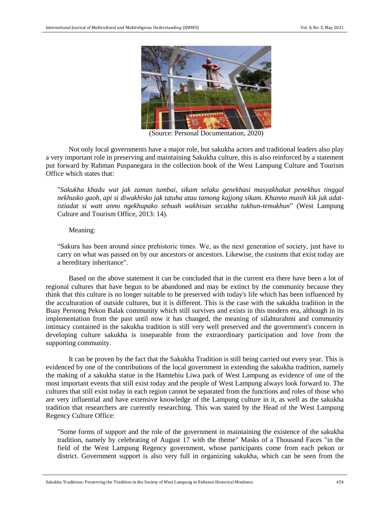

(Source: Personal Documentation, 2020)

Not only local governments have a major role, but sakukha actors and traditional leaders also play a very important role in preserving and maintaining Sakukha culture, this is also reinforced by a statement put forward by Rahman Puspanegara in the collection book of the West Lampung Culture and Tourism Office which states that:

"*Sakukha khadu wat jak zaman tumbai, sikam selaku genekhasi masyakhakat penekhus tinggal nekhusko gaoh, api si diwakhisko jak tatuha atau tamong kajjong sikam. Khanno munih kik juk adatistiadat si watt anno ngekhupako sebuah wakhisan secakha tukhun-temukhun*" (West Lampung Culture and Tourism Office, 2013: 14).

Meaning:

"Sakura has been around since prehistoric times. We, as the next generation of society, just have to carry on what was passed on by our ancestors or ancestors. Likewise, the customs that exist today are a hereditary inheritance".

Based on the above statement it can be concluded that in the current era there have been a lot of regional cultures that have begun to be abandoned and may be extinct by the community because they think that this culture is no longer suitable to be preserved with today's life which has been influenced by the acculturation of outside cultures, but it is different. This is the case with the sakukha tradition in the Buay Pernong Pekon Balak community which still survives and exists in this modern era, although in its implementation from the past until now it has changed, the meaning of silahturahmi and community intimacy contained in the sakukha tradition is still very well preserved and the government's concern in developing culture sakukha is inseparable from the extraordinary participation and love from the supporting community.

It can be proven by the fact that the Sakukha Tradition is still being carried out every year. This is evidenced by one of the contributions of the local government in extending the sakukha tradition, namely the making of a sakukha statue in the Hamtebiu Liwa park of West Lampung as evidence of one of the most important events that still exist today and the people of West Lampung always look forward to. The cultures that still exist today in each region cannot be separated from the functions and roles of those who are very influential and have extensive knowledge of the Lampung culture in it, as well as the sakukha tradition that researchers are currently researching. This was stated by the Head of the West Lampung Regency Culture Office:

"Some forms of support and the role of the government in maintaining the existence of the sakukha tradition, namely by celebrating of August 17 with the theme" Masks of a Thousand Faces "in the field of the West Lampung Regency government, whose participants come from each pekon or district. Government support is also very full in organizing sakukha, which can be seen from the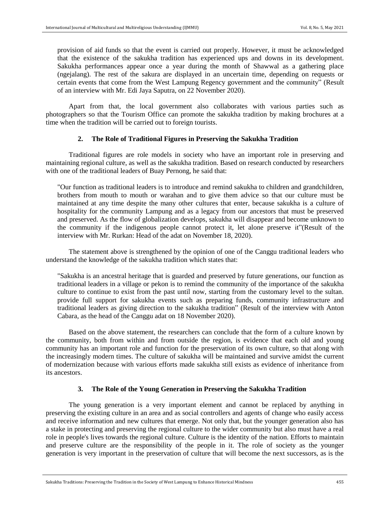provision of aid funds so that the event is carried out properly. However, it must be acknowledged that the existence of the sakukha tradition has experienced ups and downs in its development. Sakukha performances appear once a year during the month of Shawwal as a gathering place (ngejalang). The rest of the sakura are displayed in an uncertain time, depending on requests or certain events that come from the West Lampung Regency government and the community" (Result of an interview with Mr. Edi Jaya Saputra, on 22 November 2020).

Apart from that, the local government also collaborates with various parties such as photographers so that the Tourism Office can promote the sakukha tradition by making brochures at a time when the tradition will be carried out to foreign tourists.

## **2. The Role of Traditional Figures in Preserving the Sakukha Tradition**

Traditional figures are role models in society who have an important role in preserving and maintaining regional culture, as well as the sakukha tradition. Based on research conducted by researchers with one of the traditional leaders of Buay Pernong, he said that:

"Our function as traditional leaders is to introduce and remind sakukha to children and grandchildren, brothers from mouth to mouth or warahan and to give them advice so that our culture must be maintained at any time despite the many other cultures that enter, because sakukha is a culture of hospitality for the community Lampung and as a legacy from our ancestors that must be preserved and preserved. As the flow of globalization develops, sakukha will disappear and become unknown to the community if the indigenous people cannot protect it, let alone preserve it"(Result of the interview with Mr. Rurkan: Head of the adat on November 18, 2020).

The statement above is strengthened by the opinion of one of the Canggu traditional leaders who understand the knowledge of the sakukha tradition which states that:

"Sakukha is an ancestral heritage that is guarded and preserved by future generations, our function as traditional leaders in a village or pekon is to remind the community of the importance of the sakukha culture to continue to exist from the past until now, starting from the customary level to the sultan. provide full support for sakukha events such as preparing funds, community infrastructure and traditional leaders as giving direction to the sakukha tradition" (Result of the interview with Anton Cabara, as the head of the Canggu adat on 18 November 2020).

Based on the above statement, the researchers can conclude that the form of a culture known by the community, both from within and from outside the region, is evidence that each old and young community has an important role and function for the preservation of its own culture, so that along with the increasingly modern times. The culture of sakukha will be maintained and survive amidst the current of modernization because with various efforts made sakukha still exists as evidence of inheritance from its ancestors.

### **3. The Role of the Young Generation in Preserving the Sakukha Tradition**

The young generation is a very important element and cannot be replaced by anything in preserving the existing culture in an area and as social controllers and agents of change who easily access and receive information and new cultures that emerge. Not only that, but the younger generation also has a stake in protecting and preserving the regional culture to the wider community but also must have a real role in people's lives towards the regional culture. Culture is the identity of the nation. Efforts to maintain and preserve culture are the responsibility of the people in it. The role of society as the younger generation is very important in the preservation of culture that will become the next successors, as is the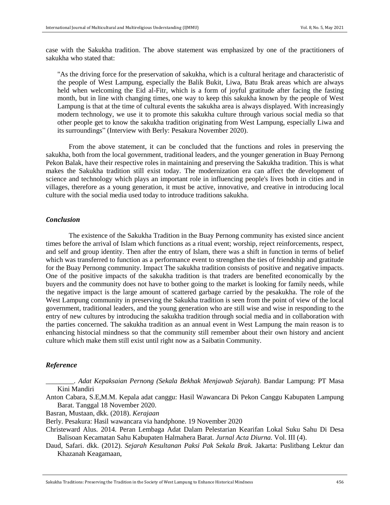case with the Sakukha tradition. The above statement was emphasized by one of the practitioners of sakukha who stated that:

"As the driving force for the preservation of sakukha, which is a cultural heritage and characteristic of the people of West Lampung, especially the Balik Bukit, Liwa, Batu Brak areas which are always held when welcoming the Eid al-Fitr, which is a form of joyful gratitude after facing the fasting month, but in line with changing times, one way to keep this sakukha known by the people of West Lampung is that at the time of cultural events the sakukha area is always displayed. With increasingly modern technology, we use it to promote this sakukha culture through various social media so that other people get to know the sakukha tradition originating from West Lampung, especially Liwa and its surroundings" (Interview with Berly: Pesakura November 2020).

From the above statement, it can be concluded that the functions and roles in preserving the sakukha, both from the local government, traditional leaders, and the younger generation in Buay Pernong Pekon Balak, have their respective roles in maintaining and preserving the Sakukha tradition. This is what makes the Sakukha tradition still exist today. The modernization era can affect the development of science and technology which plays an important role in influencing people's lives both in cities and in villages, therefore as a young generation, it must be active, innovative, and creative in introducing local culture with the social media used today to introduce traditions sakukha.

## *Conclusion*

The existence of the Sakukha Tradition in the Buay Pernong community has existed since ancient times before the arrival of Islam which functions as a ritual event; worship, reject reinforcements, respect, and self and group identity. Then after the entry of Islam, there was a shift in function in terms of belief which was transferred to function as a performance event to strengthen the ties of friendship and gratitude for the Buay Pernong community. Impact The sakukha tradition consists of positive and negative impacts. One of the positive impacts of the sakukha tradition is that traders are benefited economically by the buyers and the community does not have to bother going to the market is looking for family needs, while the negative impact is the large amount of scattered garbage carried by the pesakukha. The role of the West Lampung community in preserving the Sakukha tradition is seen from the point of view of the local government, traditional leaders, and the young generation who are still wise and wise in responding to the entry of new cultures by introducing the sakukha tradition through social media and in collaboration with the parties concerned. The sakukha tradition as an annual event in West Lampung the main reason is to enhancing histocial mindness so that the community still remember about their own history and ancient culture which make them still exist until right now as a Saibatin Community.

### *Reference*

*\_\_\_\_\_\_\_\_. Adat Kepaksaian Pernong (Sekala Bekhak Menjawab Sejarah).* Bandar Lampung: PT Masa Kini Mandiri

Anton Cabara, S.E,M.M. Kepala adat canggu: Hasil Wawancara Di Pekon Canggu Kabupaten Lampung Barat. Tanggal 18 November 2020.

Basran, Mustaan, dkk. (2018). *Kerajaan* 

Berly. Pesakura: Hasil wawancara via handphone. 19 November 2020

Christeward Alus. 2014. Peran Lembaga Adat Dalam Pelestarian Kearifan Lokal Suku Sahu Di Desa Balisoan Kecamatan Sahu Kabupaten Halmahera Barat. *Jurnal Acta Diurna.* Vol. III (4).

Daud, Safari. dkk. (2012). *Sejarah Kesultanan Paksi Pak Sekala Brak.* Jakarta: Puslitbang Lektur dan Khazanah Keagamaan,